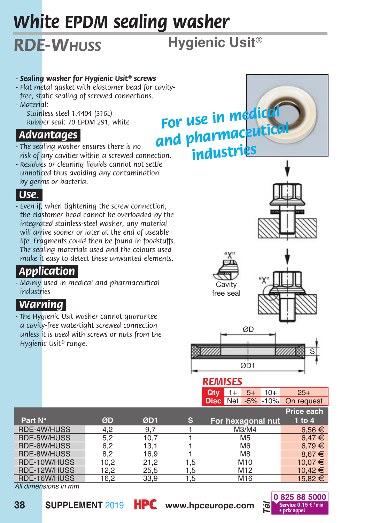# *White EPDM sealing washer*

# *RDE-Whuss*

**Hygienic Usit***®*

#### *- Sealing washer for Hygienic Usit® screws*

- *Flat metal gasket with elastomer bead for cavityfree, static sealing of screwed connections.*
- *Material:*
	- *Stainless steel 1.4404 (316L) Rubber seal: 70 EPDM 291, white*

### *Advantages.*

- *The sealing washer ensures there is no risk of any cavities within a screwed connection.*
- *Residues or cleaning liquids cannot not settle unnoticed thus avoiding any contamination by germs or bacteria.*

#### *Use..*

*- Even if, when tightening the screw connection, the elastomer bead cannot be overloaded by the integrated stainless-steel washer, any material will arrive sooner or later at the end of useable life. Fragments could then be found in foodstuffs. The sealing materials used and the colours used make it easy to detect these unwanted elements.*

## *Application.*

*- Mainly used in medical and pharmaceutical industries*

## *Warning.*

*- The Hygienic Usit washer cannot guarantee a cavity-free watertight screwed connection unless it is used with screws or nuts from the Hygienic Usit® range.*

# *For use in medical and pharmaceutical industries*









#### *REMISES*

**Qty** 1+ 5+ 10+ 25+ **Disc** Net -5% -10% On request

|              |      |      |     |                   | Price each  |
|--------------|------|------|-----|-------------------|-------------|
| Part N°      | ØD   | ØD1  | s   | For hexagonal nut | $1$ to $4$  |
| RDE-4W/HUSS  | 4.2  | 9.7  |     | M3/M4             | $6.56 \in$  |
| RDE-5W/HUSS  | 5.2  | 10.7 |     | M <sub>5</sub>    | $6.47 \in$  |
| RDE-6W/HUSS  | 6.2  | 13.1 |     | M <sub>6</sub>    | $6.79 \in$  |
| RDE-8W/HUSS  | 8.2  | 16.9 |     | M <sub>8</sub>    | $8.67 \in$  |
| RDE-10W/HUSS | 10.2 | 21.2 | 1.5 | M10               | $10.07 \in$ |
| RDE-12W/HUSS | 12.2 | 25,5 | 1.5 | M <sub>12</sub>   | $10.42 \in$ |
| RDE-16W/HUSS | 16.2 | 33.9 | 1.5 | M16               | 15.82 €     |

*All dimensions in mm*